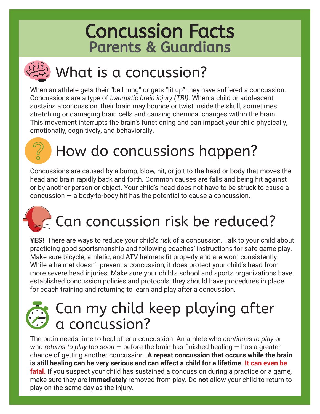## Concussion Facts Parents & Guardians

# $\left(\frac{dF}{dx}\right)$  What is a concussion?

When an athlete gets their "bell rung" or gets "lit up" they have suffered a concussion. Concussions are a type of *traumatic brain injury (TBI).* When a child or adolescent sustains a concussion, their brain may bounce or twist inside the skull, sometimes stretching or damaging brain cells and causing chemical changes within the brain. This movement interrupts the brain's functioning and can impact your child physically, emotionally, cognitively, and behaviorally.

# How do concussions happen?

Concussions are caused by a bump, blow, hit, or jolt to the head or body that moves the head and brain rapidly back and forth. Common causes are falls and being hit against or by another person or object. Your child's head does not have to be struck to cause a concussion — a body-to-body hit has the potential to cause a concussion.

## **Can concussion risk be reduced?**

**YES!** There are ways to reduce your child's risk of a concussion. Talk to your child about practicing good sportsmanship and following coaches' instructions for safe game play. Make sure bicycle, athletic, and ATV helmets fit properly and are worn consistently. While a helmet doesn't prevent a concussion, it does protect your child's head from more severe head injuries. Make sure your child's school and sports organizations have established concussion policies and protocols; they should have procedures in place for coach training and returning to learn and play after a concussion.

### Can my child keep playing after a concussion?

The brain needs time to heal after a concussion. An athlete who *continues to play* or who *returns to play too soon* — before the brain has finished healing — has a greater chance of getting another concussion. **A repeat concussion that occurs while the brain is still healing can be very serious and can affect a child for a lifetime. It can even be fatal.** If you suspect your child has sustained a concussion during a practice or a game, make sure they are **immediately** removed from play. Do **not** allow your child to return to play on the same day as the injury.